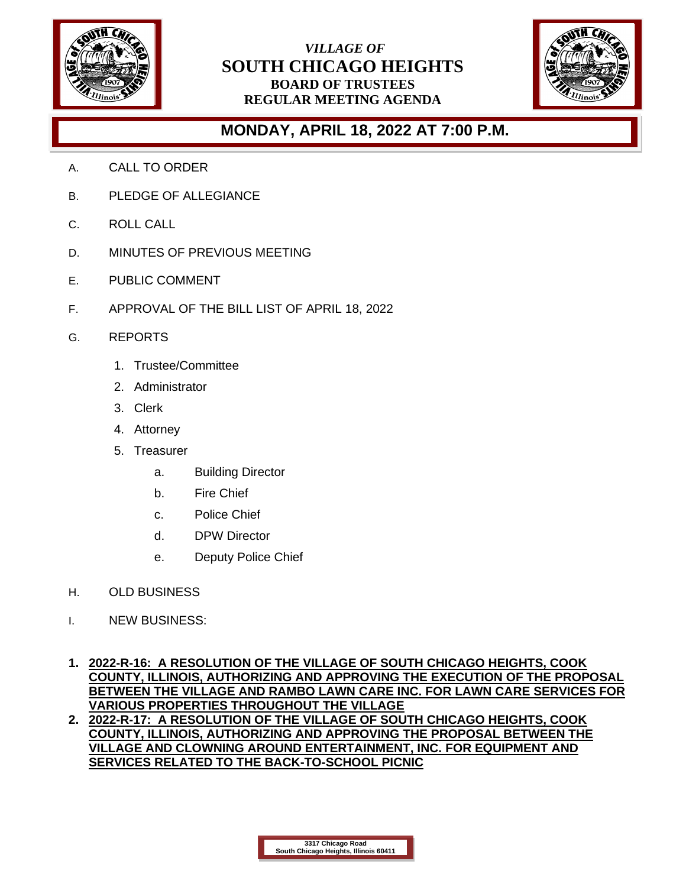

## *VILLAGE OF* **SOUTH CHICAGO HEIGHTS BOARD OF TRUSTEES REGULAR MEETING AGENDA**



## **MONDAY, APRIL 18, 2022 AT 7:00 P.M.**

- A. CALL TO ORDER
- B. PLEDGE OF ALLEGIANCE
- C. ROLL CALL
- D. MINUTES OF PREVIOUS MEETING
- E. PUBLIC COMMENT
- F. APPROVAL OF THE BILL LIST OF APRIL 18, 2022
- G. REPORTS
	- 1. Trustee/Committee
	- 2. Administrator
	- 3. Clerk
	- 4. Attorney
	- 5. Treasurer
		- a. Building Director
		- b. Fire Chief
		- c. Police Chief
		- d. DPW Director
		- e. Deputy Police Chief
- H. OLD BUSINESS
- I. NEW BUSINESS:
- **1. 2022-R-16: A RESOLUTION OF THE VILLAGE OF SOUTH CHICAGO HEIGHTS, COOK COUNTY, ILLINOIS, AUTHORIZING AND APPROVING THE EXECUTION OF THE PROPOSAL BETWEEN THE VILLAGE AND RAMBO LAWN CARE INC. FOR LAWN CARE SERVICES FOR VARIOUS PROPERTIES THROUGHOUT THE VILLAGE**
- **2. 2022-R-17: A RESOLUTION OF THE VILLAGE OF SOUTH CHICAGO HEIGHTS, COOK COUNTY, ILLINOIS, AUTHORIZING AND APPROVING THE PROPOSAL BETWEEN THE VILLAGE AND CLOWNING AROUND ENTERTAINMENT, INC. FOR EQUIPMENT AND SERVICES RELATED TO THE BACK-TO-SCHOOL PICNIC**